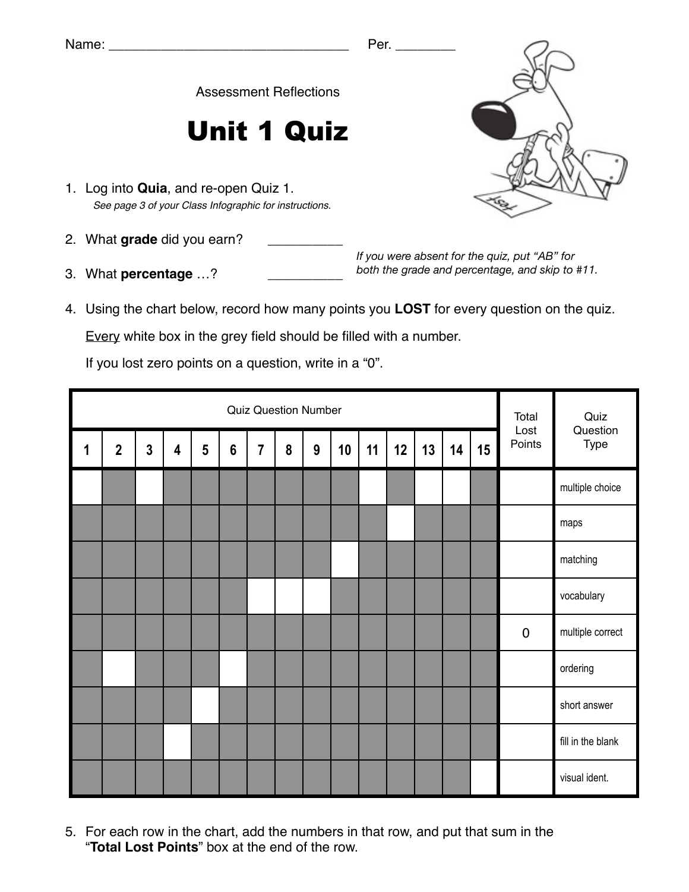Assessment Reflections

## Unit 1 Quiz

- 1. Log into **Quia**, and re-open Quiz 1. *See page 3 of your Class Infographic for instructions.*
- 2. What grade did you earn?
- 3. What **percentage** ...?

*If you were absent for the quiz, put "AB" for both the grade and percentage, and skip to #11.*

4. Using the chart below, record how many points you **LOST** for every question on the quiz.

Every white box in the grey field should be filled with a number.

If you lost zero points on a question, write in a "0".

|   | <b>Quiz Question Number</b> |                |                         |   |                |                |   |   |    |    |    |    |    |    | Total<br>Lost | Quiz              |
|---|-----------------------------|----------------|-------------------------|---|----------------|----------------|---|---|----|----|----|----|----|----|---------------|-------------------|
| 1 | $\overline{2}$              | $\overline{3}$ | $\overline{\mathbf{4}}$ | 5 | $6\phantom{1}$ | $\overline{7}$ | 8 | 9 | 10 | 11 | 12 | 13 | 14 | 15 | Points        | Question<br>Type  |
|   |                             |                |                         |   |                |                |   |   |    |    |    |    |    |    |               | multiple choice   |
|   |                             |                |                         |   |                |                |   |   |    |    |    |    |    |    |               | maps              |
|   |                             |                |                         |   |                |                |   |   |    |    |    |    |    |    |               | matching          |
|   |                             |                |                         |   |                |                |   |   |    |    |    |    |    |    |               | vocabulary        |
|   |                             |                |                         |   |                |                |   |   |    |    |    |    |    |    | $\pmb{0}$     | multiple correct  |
|   |                             |                |                         |   |                |                |   |   |    |    |    |    |    |    |               | ordering          |
|   |                             |                |                         |   |                |                |   |   |    |    |    |    |    |    |               | short answer      |
|   |                             |                |                         |   |                |                |   |   |    |    |    |    |    |    |               | fill in the blank |
|   |                             |                |                         |   |                |                |   |   |    |    |    |    |    |    |               | visual ident.     |

5. For each row in the chart, add the numbers in that row, and put that sum in the "**Total Lost Points**" box at the end of the row.